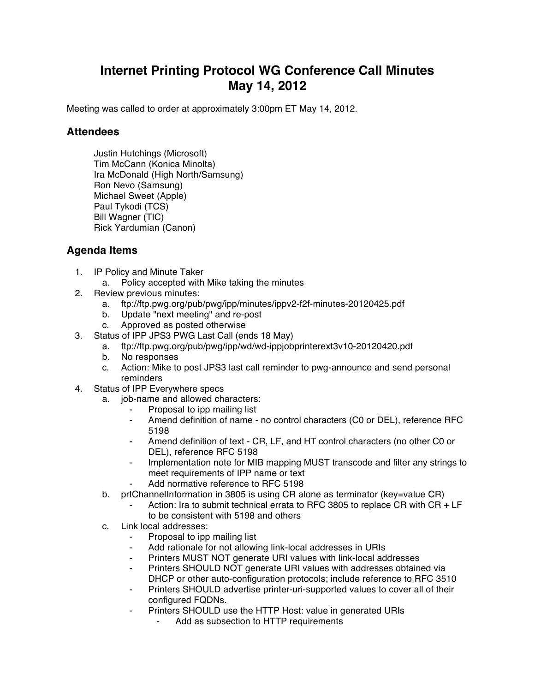## **Internet Printing Protocol WG Conference Call Minutes May 14, 2012**

Meeting was called to order at approximately 3:00pm ET May 14, 2012.

## **Attendees**

Justin Hutchings (Microsoft) Tim McCann (Konica Minolta) Ira McDonald (High North/Samsung) Ron Nevo (Samsung) Michael Sweet (Apple) Paul Tykodi (TCS) Bill Wagner (TIC) Rick Yardumian (Canon)

## **Agenda Items**

- 1. IP Policy and Minute Taker
	- a. Policy accepted with Mike taking the minutes
- 2. Review previous minutes:
	- a. ftp://ftp.pwg.org/pub/pwg/ipp/minutes/ippv2-f2f-minutes-20120425.pdf
	- b. Update "next meeting" and re-post
	- c. Approved as posted otherwise
- 3. Status of IPP JPS3 PWG Last Call (ends 18 May)
	- a. ftp://ftp.pwg.org/pub/pwg/ipp/wd/wd-ippjobprinterext3v10-20120420.pdf
	- b. No responses
	- c. Action: Mike to post JPS3 last call reminder to pwg-announce and send personal reminders
- 4. Status of IPP Everywhere specs
	- a. job-name and allowed characters:
		- Proposal to ipp mailing list
		- Amend definition of name no control characters (C0 or DEL), reference RFC 5198
		- Amend definition of text CR, LF, and HT control characters (no other C0 or DEL), reference RFC 5198
		- Implementation note for MIB mapping MUST transcode and filter any strings to meet requirements of IPP name or text
		- Add normative reference to RFC 5198
	- b. prtChannelInformation in 3805 is using CR alone as terminator (key=value CR)
		- Action: Ira to submit technical errata to RFC 3805 to replace CR with  $CR + LF$ to be consistent with 5198 and others
	- c. Link local addresses:
		- ⁃ Proposal to ipp mailing list
		- Add rationale for not allowing link-local addresses in URIs
		- Printers MUST NOT generate URI values with link-local addresses
		- Printers SHOULD NOT generate URI values with addresses obtained via DHCP or other auto-configuration protocols; include reference to RFC 3510
		- Printers SHOULD advertise printer-uri-supported values to cover all of their configured FQDNs.
		- Printers SHOULD use the HTTP Host: value in generated URIs
			- Add as subsection to HTTP requirements